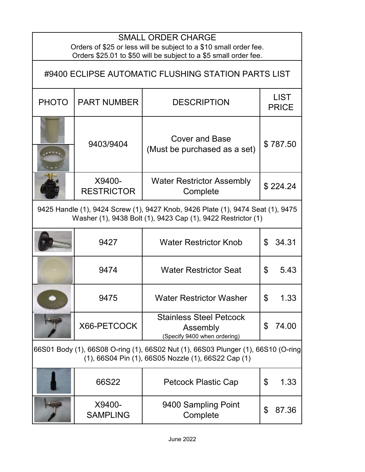| <b>SMALL ORDER CHARGE</b><br>Orders of \$25 or less will be subject to a \$10 small order fee.<br>Orders \$25.01 to \$50 will be subject to a \$5 small order fee. |                             |                                                                            |                             |  |
|--------------------------------------------------------------------------------------------------------------------------------------------------------------------|-----------------------------|----------------------------------------------------------------------------|-----------------------------|--|
| #9400 ECLIPSE AUTOMATIC FLUSHING STATION PARTS LIST                                                                                                                |                             |                                                                            |                             |  |
| <b>PHOTO</b>                                                                                                                                                       | <b>PART NUMBER</b>          | <b>DESCRIPTION</b>                                                         | <b>LIST</b><br><b>PRICE</b> |  |
|                                                                                                                                                                    | 9403/9404                   | <b>Cover and Base</b><br>(Must be purchased as a set)                      | \$787.50                    |  |
|                                                                                                                                                                    | X9400-<br><b>RESTRICTOR</b> | <b>Water Restrictor Assembly</b><br>Complete                               | \$224.24                    |  |
| 9425 Handle (1), 9424 Screw (1), 9427 Knob, 9426 Plate (1), 9474 Seat (1), 9475<br>Washer (1), 9438 Bolt (1), 9423 Cap (1), 9422 Restrictor (1)                    |                             |                                                                            |                             |  |
|                                                                                                                                                                    | 9427                        | <b>Water Restrictor Knob</b>                                               | 34.31<br>\$                 |  |
|                                                                                                                                                                    | 9474                        | <b>Water Restrictor Seat</b>                                               | 5.43<br>\$                  |  |
|                                                                                                                                                                    | 9475                        | <b>Water Restrictor Washer</b>                                             | \$<br>1.33                  |  |
|                                                                                                                                                                    | X66-PETCOCK                 | <b>Stainless Steel Petcock</b><br>Assembly<br>(Specify 9400 when ordering) | \$<br>74.00                 |  |
| 66S01 Body (1), 66S08 O-ring (1), 66S02 Nut (1), 66S03 Plunger (1), 66S10 (O-ring<br>(1), 66S04 Pin (1), 66S05 Nozzle (1), 66S22 Cap (1)                           |                             |                                                                            |                             |  |
|                                                                                                                                                                    | 66S22                       | <b>Petcock Plastic Cap</b>                                                 | \$<br>1.33                  |  |
|                                                                                                                                                                    | X9400-<br><b>SAMPLING</b>   | 9400 Sampling Point<br>Complete                                            | \$<br>87.36                 |  |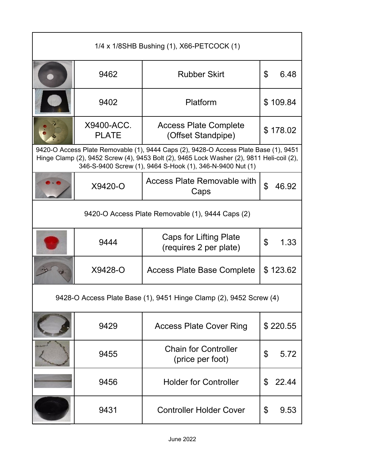| 1/4 x 1/8SHB Bushing (1), X66-PETCOCK (1)                          |                            |                                                                                                                                                                                                                                                |             |  |
|--------------------------------------------------------------------|----------------------------|------------------------------------------------------------------------------------------------------------------------------------------------------------------------------------------------------------------------------------------------|-------------|--|
|                                                                    | 9462                       | <b>Rubber Skirt</b>                                                                                                                                                                                                                            | \$<br>6.48  |  |
|                                                                    | 9402                       | Platform                                                                                                                                                                                                                                       | \$109.84    |  |
|                                                                    | X9400-ACC.<br><b>PLATE</b> | <b>Access Plate Complete</b><br>(Offset Standpipe)                                                                                                                                                                                             | \$178.02    |  |
|                                                                    |                            | 9420-O Access Plate Removable (1), 9444 Caps (2), 9428-O Access Plate Base (1), 9451<br>Hinge Clamp (2), 9452 Screw (4), 9453 Bolt (2), 9465 Lock Washer (2), 9811 Heli-coil (2),<br>346-S-9400 Screw (1), 9464 S-Hook (1), 346-N-9400 Nut (1) |             |  |
|                                                                    | X9420-O                    | <b>Access Plate Removable with</b><br>Caps                                                                                                                                                                                                     | \$<br>46.92 |  |
| 9420-O Access Plate Removable (1), 9444 Caps (2)                   |                            |                                                                                                                                                                                                                                                |             |  |
|                                                                    | 9444                       | <b>Caps for Lifting Plate</b><br>(requires 2 per plate)                                                                                                                                                                                        | \$<br>1.33  |  |
|                                                                    | X9428-O                    | <b>Access Plate Base Complete</b>                                                                                                                                                                                                              | \$123.62    |  |
| 9428-O Access Plate Base (1), 9451 Hinge Clamp (2), 9452 Screw (4) |                            |                                                                                                                                                                                                                                                |             |  |
|                                                                    | 9429                       | <b>Access Plate Cover Ring</b>                                                                                                                                                                                                                 | \$220.55    |  |
|                                                                    | 9455                       | <b>Chain for Controller</b><br>(price per foot)                                                                                                                                                                                                | 5.72<br>\$  |  |
|                                                                    | 9456                       | <b>Holder for Controller</b>                                                                                                                                                                                                                   | \$<br>22.44 |  |
|                                                                    | 9431                       | <b>Controller Holder Cover</b>                                                                                                                                                                                                                 | \$<br>9.53  |  |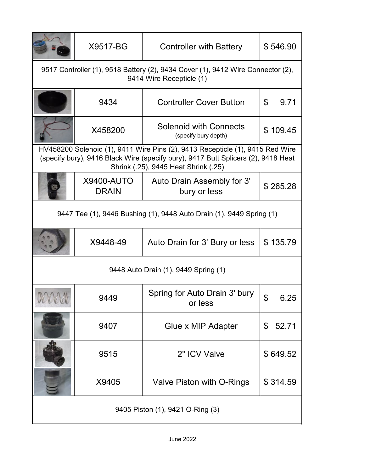|                                                                                                             | X9517-BG                                                             | <b>Controller with Battery</b>                                                                                                                                                                             | \$546.90                |  |
|-------------------------------------------------------------------------------------------------------------|----------------------------------------------------------------------|------------------------------------------------------------------------------------------------------------------------------------------------------------------------------------------------------------|-------------------------|--|
| 9517 Controller (1), 9518 Battery (2), 9434 Cover (1), 9412 Wire Connector (2),<br>9414 Wire Recepticle (1) |                                                                      |                                                                                                                                                                                                            |                         |  |
|                                                                                                             | 9434                                                                 | <b>Controller Cover Button</b>                                                                                                                                                                             | $\mathfrak{L}$<br>9.71  |  |
|                                                                                                             | X458200                                                              | Solenoid with Connects<br>(specify bury depth)                                                                                                                                                             | \$109.45                |  |
|                                                                                                             |                                                                      | HV458200 Solenoid (1), 9411 Wire Pins (2), 9413 Recepticle (1), 9415 Red Wire<br>(specify bury), 9416 Black Wire (specify bury), 9417 Butt Splicers (2), 9418 Heat<br>Shrink (.25), 9445 Heat Shrink (.25) |                         |  |
|                                                                                                             | <b>X9400-AUTO</b><br><b>DRAIN</b>                                    | Auto Drain Assembly for 3'<br>bury or less                                                                                                                                                                 | \$265.28                |  |
|                                                                                                             | 9447 Tee (1), 9446 Bushing (1), 9448 Auto Drain (1), 9449 Spring (1) |                                                                                                                                                                                                            |                         |  |
|                                                                                                             | X9448-49                                                             | Auto Drain for 3' Bury or less                                                                                                                                                                             | \$135.79                |  |
| 9448 Auto Drain (1), 9449 Spring (1)                                                                        |                                                                      |                                                                                                                                                                                                            |                         |  |
| nna                                                                                                         | 9449                                                                 | Spring for Auto Drain 3' bury<br>or less                                                                                                                                                                   | ደ<br>6.25               |  |
|                                                                                                             | 9407                                                                 | Glue x MIP Adapter                                                                                                                                                                                         | 52.71<br>$\mathfrak{L}$ |  |
|                                                                                                             | 9515                                                                 | 2" ICV Valve                                                                                                                                                                                               | \$649.52                |  |
|                                                                                                             | X9405                                                                | Valve Piston with O-Rings                                                                                                                                                                                  | \$314.59                |  |
| 9405 Piston (1), 9421 O-Ring (3)                                                                            |                                                                      |                                                                                                                                                                                                            |                         |  |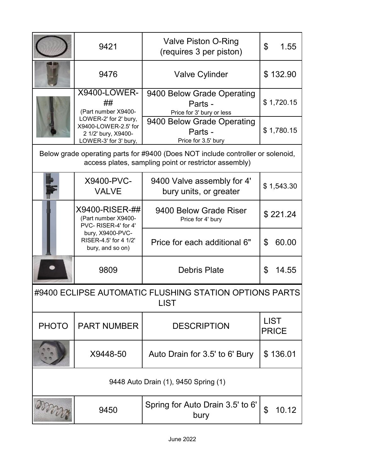|                                                                       | 9421                                                                                          | Valve Piston O-Ring<br>(requires 3 per piston)                                                                                           | \$<br>1.55                  |
|-----------------------------------------------------------------------|-----------------------------------------------------------------------------------------------|------------------------------------------------------------------------------------------------------------------------------------------|-----------------------------|
|                                                                       | 9476                                                                                          | <b>Valve Cylinder</b>                                                                                                                    | \$132.90                    |
|                                                                       | <b>X9400-LOWER-</b><br>##<br>(Part number X9400-                                              | 9400 Below Grade Operating<br>Parts -<br>Price for 3' bury or less                                                                       | \$1,720.15                  |
|                                                                       | LOWER-2' for 2' bury,<br>X9400-LOWER-2.5' for<br>2 1/2' bury, X9400-<br>LOWER-3' for 3' bury, | 9400 Below Grade Operating<br>Parts -<br>Price for 3.5' bury                                                                             | \$1,780.15                  |
|                                                                       |                                                                                               | Below grade operating parts for #9400 (Does NOT include controller or solenoid,<br>access plates, sampling point or restrictor assembly) |                             |
|                                                                       | X9400-PVC-<br><b>VALVE</b>                                                                    | 9400 Valve assembly for 4'<br>bury units, or greater                                                                                     | \$1,543.30                  |
|                                                                       | X9400-RISER-##<br>(Part number X9400-<br>PVC-RISER-4' for 4'                                  | 9400 Below Grade Riser<br>Price for 4' bury                                                                                              | \$221.24                    |
|                                                                       | bury, X9400-PVC-<br>RISER-4.5' for 4 1/2'<br>bury, and so on)                                 | Price for each additional 6"                                                                                                             | 60.00<br>\$                 |
|                                                                       | 9809                                                                                          | <b>Debris Plate</b>                                                                                                                      | \$<br>14.55                 |
| #9400 ECLIPSE AUTOMATIC FLUSHING STATION OPTIONS PARTS<br><b>LIST</b> |                                                                                               |                                                                                                                                          |                             |
| <b>PHOTO</b>                                                          | <b>PART NUMBER</b>                                                                            | <b>DESCRIPTION</b>                                                                                                                       | <b>LIST</b><br><b>PRICE</b> |
|                                                                       | X9448-50                                                                                      | Auto Drain for 3.5' to 6' Bury                                                                                                           | \$136.01                    |
| 9448 Auto Drain (1), 9450 Spring (1)                                  |                                                                                               |                                                                                                                                          |                             |
| overna                                                                | 9450                                                                                          | Spring for Auto Drain 3.5' to 6'<br>bury                                                                                                 | \$<br>10.12                 |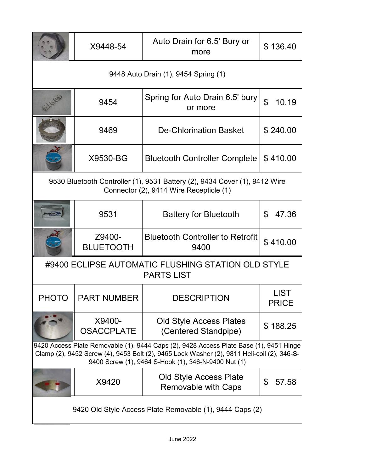|                                                                                                                                                                                                                                             | X9448-54                    | Auto Drain for 6.5' Bury or<br>more                                                                                   | \$136.40                    |
|---------------------------------------------------------------------------------------------------------------------------------------------------------------------------------------------------------------------------------------------|-----------------------------|-----------------------------------------------------------------------------------------------------------------------|-----------------------------|
| 9448 Auto Drain (1), 9454 Spring (1)                                                                                                                                                                                                        |                             |                                                                                                                       |                             |
|                                                                                                                                                                                                                                             | 9454                        | Spring for Auto Drain 6.5' bury<br>or more                                                                            | $\mathfrak{L}$<br>10.19     |
|                                                                                                                                                                                                                                             | 9469                        | <b>De-Chlorination Basket</b>                                                                                         | \$240.00                    |
|                                                                                                                                                                                                                                             | X9530-BG                    | <b>Bluetooth Controller Complete</b>                                                                                  | \$410.00                    |
|                                                                                                                                                                                                                                             |                             | 9530 Bluetooth Controller (1), 9531 Battery (2), 9434 Cover (1), 9412 Wire<br>Connector (2), 9414 Wire Recepticle (1) |                             |
|                                                                                                                                                                                                                                             | 9531                        | <b>Battery for Bluetooth</b>                                                                                          | \$<br>47.36                 |
|                                                                                                                                                                                                                                             | Z9400-<br><b>BLUETOOTH</b>  | <b>Bluetooth Controller to Retrofit</b><br>9400                                                                       | \$410.00                    |
| #9400 ECLIPSE AUTOMATIC FLUSHING STATION OLD STYLE<br><b>PARTS LIST</b>                                                                                                                                                                     |                             |                                                                                                                       |                             |
| PHOTO                                                                                                                                                                                                                                       | <b>PART NUMBER</b>          | <b>DESCRIPTION</b>                                                                                                    | <b>LIST</b><br><b>PRICE</b> |
|                                                                                                                                                                                                                                             | X9400-<br><b>OSACCPLATE</b> | <b>Old Style Access Plates</b><br>(Centered Standpipe)                                                                | \$188.25                    |
| 9420 Access Plate Removable (1), 9444 Caps (2), 9428 Access Plate Base (1), 9451 Hinge<br>Clamp (2), 9452 Screw (4), 9453 Bolt (2), 9465 Lock Washer (2), 9811 Heli-coil (2), 346-S-<br>9400 Screw (1), 9464 S-Hook (1), 346-N-9400 Nut (1) |                             |                                                                                                                       |                             |
|                                                                                                                                                                                                                                             | X9420                       | Old Style Access Plate<br><b>Removable with Caps</b>                                                                  | \$<br>57.58                 |
| 9420 Old Style Access Plate Removable (1), 9444 Caps (2)                                                                                                                                                                                    |                             |                                                                                                                       |                             |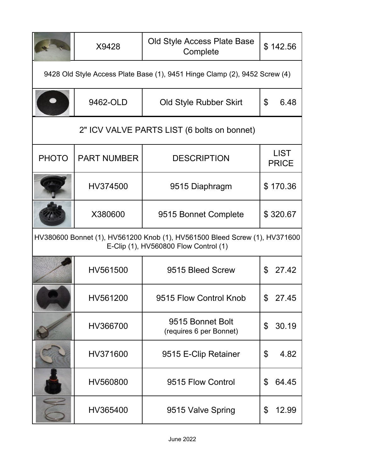|                                                                                                                     | X9428              | Old Style Access Plate Base<br>Complete     | \$142.56                    |
|---------------------------------------------------------------------------------------------------------------------|--------------------|---------------------------------------------|-----------------------------|
| 9428 Old Style Access Plate Base (1), 9451 Hinge Clamp (2), 9452 Screw (4)                                          |                    |                                             |                             |
|                                                                                                                     | 9462-OLD           | Old Style Rubber Skirt                      | \$<br>6.48                  |
|                                                                                                                     |                    | 2" ICV VALVE PARTS LIST (6 bolts on bonnet) |                             |
| <b>PHOTO</b>                                                                                                        | <b>PART NUMBER</b> | <b>DESCRIPTION</b>                          | <b>LIST</b><br><b>PRICE</b> |
|                                                                                                                     | HV374500           | 9515 Diaphragm                              | \$170.36                    |
|                                                                                                                     | X380600            | 9515 Bonnet Complete                        | \$320.67                    |
| HV380600 Bonnet (1), HV561200 Knob (1), HV561500 Bleed Screw (1), HV371600<br>E-Clip (1), HV560800 Flow Control (1) |                    |                                             |                             |
|                                                                                                                     | HV561500           | 9515 Bleed Screw                            | \$27.42                     |
|                                                                                                                     | HV561200           | 9515 Flow Control Knob                      | 27.45                       |
|                                                                                                                     | HV366700           | 9515 Bonnet Bolt<br>(requires 6 per Bonnet) | 30.19<br>\$                 |
|                                                                                                                     | HV371600           | 9515 E-Clip Retainer                        | \$<br>4.82                  |
|                                                                                                                     | HV560800           | 9515 Flow Control                           | \$<br>64.45                 |
|                                                                                                                     | HV365400           | 9515 Valve Spring                           | 12.99<br>\$                 |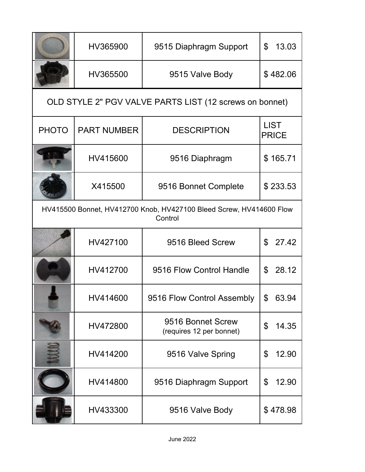|                                                                                | HV365900           | 9515 Diaphragm Support                                  | 13.03<br>$\mathbb{S}$       |
|--------------------------------------------------------------------------------|--------------------|---------------------------------------------------------|-----------------------------|
|                                                                                | HV365500           | 9515 Valve Body                                         | \$482.06                    |
|                                                                                |                    | OLD STYLE 2" PGV VALVE PARTS LIST (12 screws on bonnet) |                             |
| <b>PHOTO</b>                                                                   | <b>PART NUMBER</b> | <b>DESCRIPTION</b>                                      | <b>LIST</b><br><b>PRICE</b> |
|                                                                                | HV415600           | 9516 Diaphragm                                          | \$165.71                    |
|                                                                                | X415500            | 9516 Bonnet Complete                                    | \$233.53                    |
| HV415500 Bonnet, HV412700 Knob, HV427100 Bleed Screw, HV414600 Flow<br>Control |                    |                                                         |                             |
|                                                                                | HV427100           | 9516 Bleed Screw                                        | \$<br>27.42                 |
|                                                                                | HV412700           | 9516 Flow Control Handle                                | 28.12<br>\$                 |
|                                                                                | HV414600           | 9516 Flow Control Assembly                              | \$<br>63.94                 |
|                                                                                | HV472800           | 9516 Bonnet Screw<br>(requires 12 per bonnet)           | 14.35<br>\$                 |
|                                                                                | HV414200           | 9516 Valve Spring                                       | 12.90<br>\$                 |
|                                                                                | HV414800           | 9516 Diaphragm Support                                  | \$<br>12.90                 |
|                                                                                | HV433300           | 9516 Valve Body                                         | \$478.98                    |